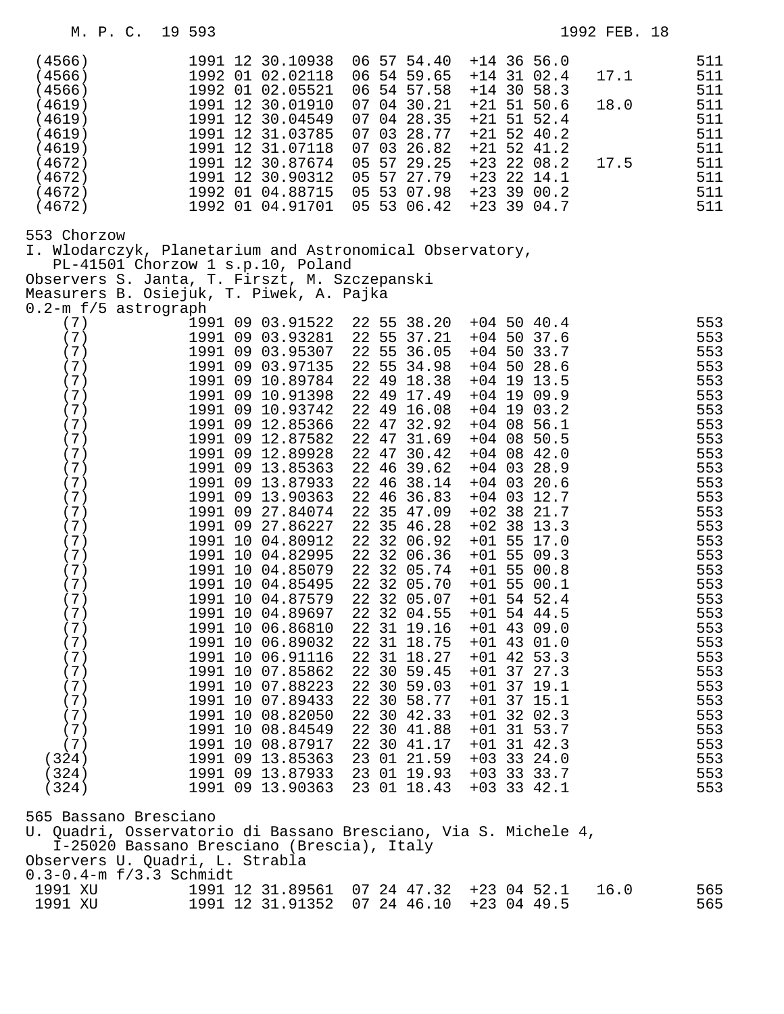| (4566)<br>(4566)<br>(4566)<br>(4619)<br>(4619)<br>(4619)<br>(4619)<br>(4672)<br>(4672)<br>(4672)<br>(4672)                                                                                                                                                        | 1991 12 30.10938<br>1992 01 02.02118<br>1992 01 02.05521<br>1991 12 30.01910<br>1991 12 30.04549<br>1991 12 31.03785<br>1991 12 31.07118<br>1991 12 30.87674<br>1991 12 30.90312<br>1992 01 04.88715<br>1992 01 04.91701                                                                                                                                                                                                                                                                                                                                                                                                                 | 06 57 54.40<br>06 54 59.65<br>06 54 57.58<br>07 04 30.21<br>07 04 28.35<br>07<br>03 28.77<br>07<br>03 26.82<br>05<br>57 29.25<br>05 57 27.79<br>05 53 07.98<br>05 53 06.42                                                                                                                                                                                                                                                                                                                                                                    | $+14$ 36 56.0<br>$+14$ 31 02.4<br>$+14$ 30 58.3<br>$+21$ 51 50.6<br>$+21$ 51 52.4<br>$+21$ 52 40.2<br>$+21$ 52 41.2<br>$+23$ 22 08.2<br>$+23$ 22 14.1<br>$+23$ 39 00.2<br>$+23$ 39 04.7                                                                                                                                                                                                                                                                                                                                                                                       | 511<br>511<br>17.1<br>511<br>18.0<br>511<br>511<br>511<br>511<br>17.5<br>511<br>511<br>511<br>511                                                                                                                                   |
|-------------------------------------------------------------------------------------------------------------------------------------------------------------------------------------------------------------------------------------------------------------------|------------------------------------------------------------------------------------------------------------------------------------------------------------------------------------------------------------------------------------------------------------------------------------------------------------------------------------------------------------------------------------------------------------------------------------------------------------------------------------------------------------------------------------------------------------------------------------------------------------------------------------------|-----------------------------------------------------------------------------------------------------------------------------------------------------------------------------------------------------------------------------------------------------------------------------------------------------------------------------------------------------------------------------------------------------------------------------------------------------------------------------------------------------------------------------------------------|-------------------------------------------------------------------------------------------------------------------------------------------------------------------------------------------------------------------------------------------------------------------------------------------------------------------------------------------------------------------------------------------------------------------------------------------------------------------------------------------------------------------------------------------------------------------------------|-------------------------------------------------------------------------------------------------------------------------------------------------------------------------------------------------------------------------------------|
| 553 Chorzow<br>I. Wlodarczyk, Planetarium and Astronomical Observatory,<br>Observers S. Janta, T. Firszt, M. Szczepanski<br>Measurers B. Osiejuk, T. Piwek, A. Pajka                                                                                              | PL-41501 Chorzow 1 s.p.10, Poland                                                                                                                                                                                                                                                                                                                                                                                                                                                                                                                                                                                                        |                                                                                                                                                                                                                                                                                                                                                                                                                                                                                                                                               |                                                                                                                                                                                                                                                                                                                                                                                                                                                                                                                                                                               |                                                                                                                                                                                                                                     |
| 0.2-m f/5 astrograph<br>(7)<br>(7)<br>(7)<br>(7)<br>(7)<br>(7)<br>(7)<br>(7)<br>(7)<br>(7)<br>(7)<br>(7)<br>(7)<br>(7)<br>(7)<br>(7)<br>(7)<br>(7)<br>(7)<br>(7)<br>(7)<br>(7)<br>(7)<br>(7)<br>(7)<br>(7)<br>(7)<br>(7)<br>(7)<br>(7)<br>(324)<br>(324)<br>(324) | 1991 09 03.91522<br>1991 09 03.93281<br>1991 09 03.95307<br>1991 09 03.97135<br>1991 09 10.89784<br>1991 09 10.91398<br>1991 09 10.93742<br>1991 09 12.85366<br>1991 09 12.87582<br>1991 09 12.89928<br>1991 09 13.85363<br>1991 09 13.87933<br>1991 09 13.90363<br>1991 09 27.84074<br>1991 09 27.86227<br>1991 10 04.80912<br>1991 10 04.82995<br>1991 10 04.85079<br>1991 10 04.85495<br>1991 10 04.87579<br>1991 10 04.89697<br>1991 10 06.86810<br>1991 10 06.89032<br>1991 10 06.91116<br>1991 10 07.85862<br>1991 10 07.88223<br>1991 10 07.89433<br>1991 10 08.82050<br>1991 10 08.84549<br>1991 10 08.87917<br>1991 09 13.85363 | 22 55 38.20<br>22 55 37.21<br>22 55 36.05<br>22 55 34.98<br>22 49 18.38<br>22 49 17.49<br>22 49 16.08<br>22 47 32.92<br>22 47 31.69<br>22 47 30.42<br>22 46 39.62<br>22 46 38.14<br>22 46 36.83<br>22 35 47.09<br>22 35 46.28<br>22 32 06.92<br>22 32 06.36<br>22 32 05.74<br>22 32 05.70<br>22 32 05.07<br>22 32 04.55<br>22 31 19.16<br>22 31 18.75<br>22 31 18.27<br>22 30 59.45<br>22 30 59.03<br>22 30 58.77<br>22 30 42.33<br>22 30 41.88<br>22 30 41.17<br>23 01 21.59<br>1991 09 13.87933 23 01 19.93<br>1991 09 13.90363 23 01 18.43 | $+04$ 50 40.4<br>$+04$ 50 37.6<br>$+04$ 50 33.7<br>$+04$ 50 28.6<br>$+04$ 19 13.5<br>$+04$ 19 09.9<br>$+04$ 19 03.2<br>$+04$ 08 56.1<br>$+04$ 08 50.5<br>$+04$ 08 42.0<br>$+04$ 03 28.9<br>$+04$ 03 20.6<br>$+04$ 03 12.7<br>$+02$ 38 21.7<br>$+02$ 38 13.3<br>$+01$ 55 17.0<br>$+01$ 55 09.3<br>$+01$ 55 00.8<br>$+01$ 55 00.1<br>$+01$ 54 52.4<br>$+01$ 54 44.5<br>$+01$ 43 09.0<br>$+01$ 43 01.0<br>$+01$ 42 53.3<br>$+01$ 37 27.3<br>$+01$ 37 19.1<br>$+01$ 37 15.1<br>$+01$ 32 02.3<br>$+01$ 31 53.7<br>$+01$ 31 42.3<br>$+03$ 33 24.0<br>$+03$ 33 33.7<br>$+03$ 33 42.1 | 553<br>553<br>553<br>553<br>553<br>553<br>553<br>553<br>553<br>553<br>553<br>553<br>553<br>553<br>553<br>553<br>553<br>553<br>553<br>553<br>553<br>553<br>553<br>553<br>553<br>553<br>553<br>553<br>553<br>553<br>553<br>553<br>553 |
| 565 Bassano Bresciano<br>U. Quadri, Osservatorio di Bassano Bresciano, Via S. Michele 4,<br>Observers U. Quadri, L. Strabla                                                                                                                                       | I-25020 Bassano Bresciano (Brescia), Italy                                                                                                                                                                                                                                                                                                                                                                                                                                                                                                                                                                                               |                                                                                                                                                                                                                                                                                                                                                                                                                                                                                                                                               |                                                                                                                                                                                                                                                                                                                                                                                                                                                                                                                                                                               |                                                                                                                                                                                                                                     |
| $0.3 - 0.4 - m f/3.3$ Schmidt<br>1991 XU<br>1991 XU                                                                                                                                                                                                               |                                                                                                                                                                                                                                                                                                                                                                                                                                                                                                                                                                                                                                          | 1991 12 31.89561 07 24 47.32 +23 04 52.1<br>1991 12 31.91352 07 24 46.10                                                                                                                                                                                                                                                                                                                                                                                                                                                                      | $+23$ 04 49.5                                                                                                                                                                                                                                                                                                                                                                                                                                                                                                                                                                 | 565<br>16.0<br>565                                                                                                                                                                                                                  |